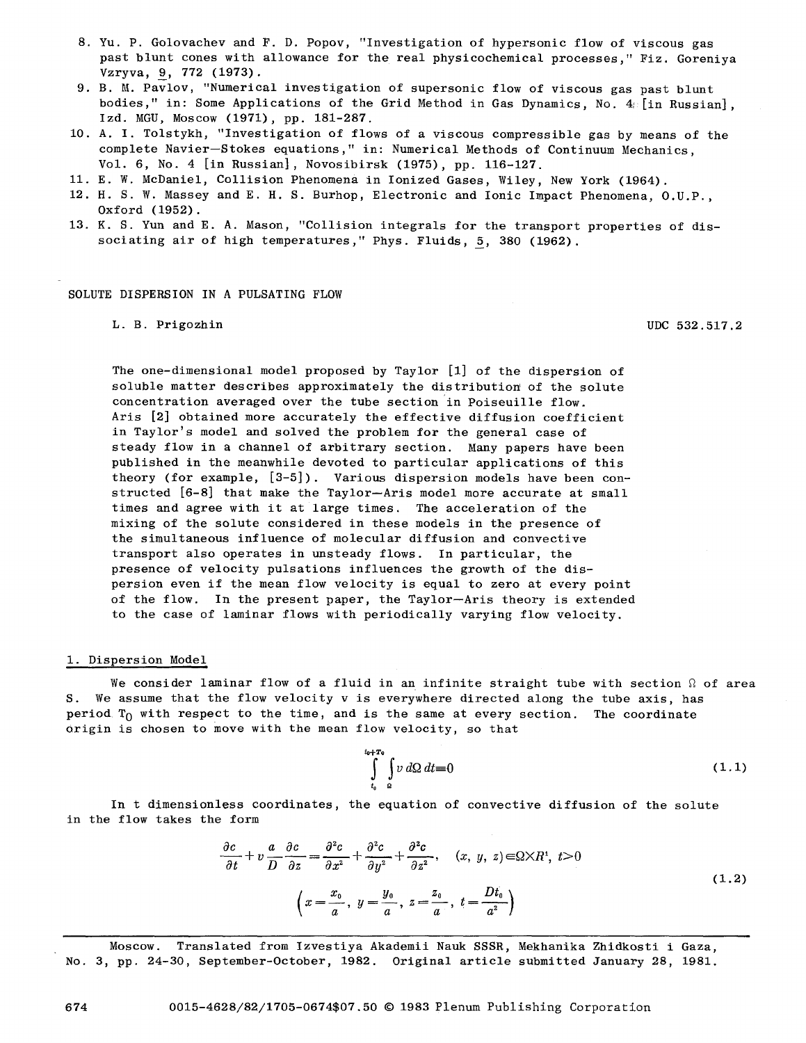- 8. Yu. P. Golovachev and F. D. Popov, "Investigation of hypersonic flow of viscous gas past blunt cones with allowance for the real physicochemical processes," Fiz. Goreniya Vzryva, 9, 772 (1973).
- 9. B. M. Pavlov, "Numerical investigation of supersonic flow of viscous gas past blunt bodies," in: Some Applications of the Grid Method in Gas Dynamics, No.  $4$ : [in Russian], Izd. MGU, Moscow (1971), pp. 181-287.
- i0. A. I. Tolstykh, "Investigation of flows of a viscous compressible gas by means of the complete Navier-Stokes equations," in: Numerical Methods of Continuum Mechanics, Vol. 6, No. 4 [in Russian], Novosibirsk (1975), pp. 116-127.
- ii. E. W. McDaniel, Collision Phenomena in Ionized Gases, Wiley, New York (1964).
- 12. H. S. W. Massey and E. H. S. Burhop, Electronic and Ionic Impact Phenomena, O.U.P., Oxford (1952).
- 13. K. S. Yun and E. A. Mason, "Collision integrals for the transport properties of dissociating air of high temperatures," Phys. Fluids, 5, 380 (1962).

## SOLUTE DISPERSION IN A PULSATING FLOW

L. B. Prigozhin UDC 532.517.2

The one-dimensional model proposed by Taylor [I] of the dispersion of soluble matter describes approximately the distribution of the solute concentration averaged over the tube section in Poiseuille flow. Aris [2] obtained more accurately the effective diffusion coefficient in Taylor's model and solved the problem for the general case of steady flow in a channel of arbitrary section. Many papers have been published in the meanwhile devoted to particular applications of this theory (for example, [3-5]). Various dispersion models have been constructed [6-8] that make the Taylor--Aris model more accurate at small times and agree with it at large times. The acceleration of the mixing of the solute considered in these models in the presence of the simultaneous influence of molecular diffusion and convective transport also operates in unsteady flows. In particular, the presence of velocity pulsations influences the growth of the dispersion even if the mean flow velocity is equal to zero at every point of the flow. In the present paper, the Taylor-Aris theory is extended to the case of laminar flows with periodically varying flow velocity.

#### i. Dispersion Model

We consider laminar flow of a fluid in an infinite straight tube with section  $\Omega$  of area S. We assume that the flow velocity v is everywhere directed along the tube axis, has period  $T_0$  with respect to the time, and is the same at every section. The coordinate Origin is chosen to move with the mean flow velocity, so that

> $\int^{t_0+T_0} \int v \, d\Omega \, dt = 0$  $(1.1)$ **to a**

In t dimensionless coordinates, the equation of convective diffusion of the solute in the flow takes the form

$$
\frac{\partial c}{\partial t} + v \frac{a}{D} \frac{\partial c}{\partial z} = \frac{\partial^2 c}{\partial x^2} + \frac{\partial^2 c}{\partial y^2} + \frac{\partial^2 c}{\partial z^2}, \quad (x, y, z) \in \Omega \times R^4, \ t > 0
$$
\n
$$
\left(x = \frac{x_0}{a}, y = \frac{y_0}{a}, z = \frac{z_0}{a}, t = \frac{Dt_0}{a^2}\right)
$$
\n(1.2)

Moscow. Translated from Izvestiya Akademii Nauk SSSR, Mekhanika Zhidkosti i Gaza, No. 3, pp. 24-30, September-October, 1982. Original article submitted January 28, 1981.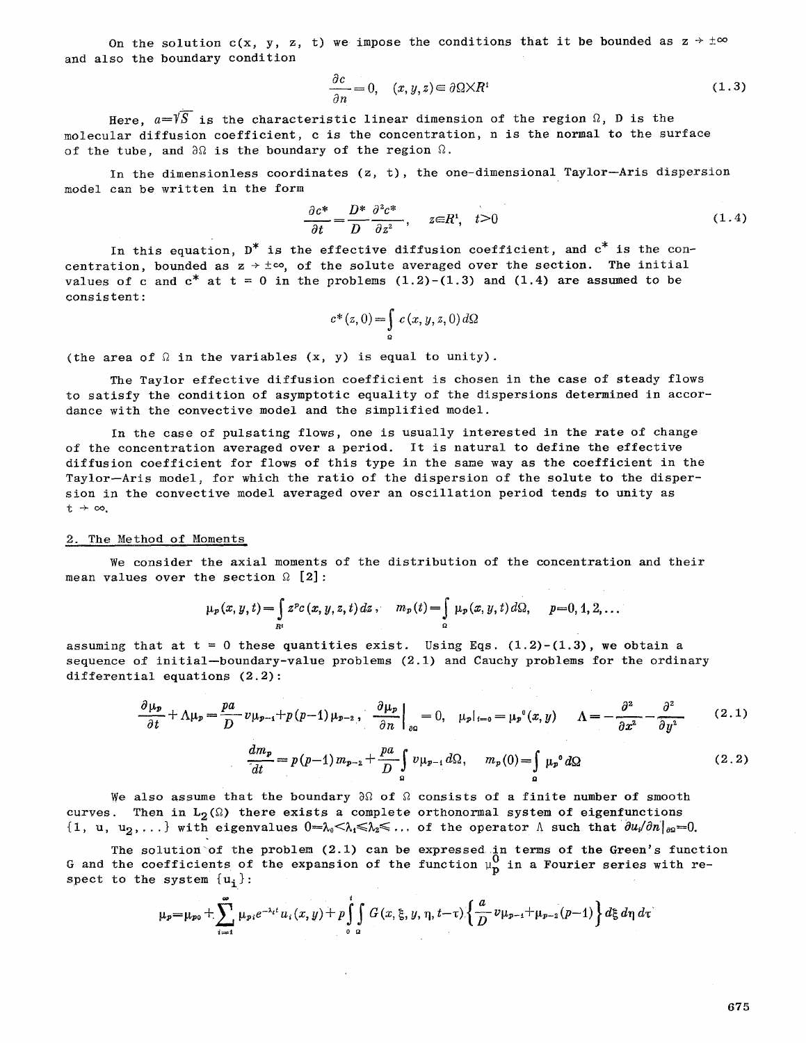On the solution c(x, y, z, t) we impose the conditions that it be bounded as  $z \rightarrow \pm \infty$ and also the boundary condition

$$
\frac{\partial c}{\partial n} = 0, \quad (x, y, z) \in \partial \Omega \times R^i \tag{1.3}
$$

Here,  $a=\sqrt{S}$  is the characteristic linear dimension of the region  $\Omega$ , D is the molecular diffusion coefficient, c is the concentration, n is the normal to the surface of the tube, and  $\partial\Omega$  is the boundary of the region  $\Omega$ .

In the dimensionless coordinates (z, t), the one-dimensional Taylor--Aria dispersion model can be written in the form

$$
\frac{\partial c^*}{\partial t} = \frac{D^*}{D} \frac{\partial^2 c^*}{\partial z^2}, \quad z \in R^i, \quad t > 0 \tag{1.4}
$$

In this equation,  $D^*$  is the effective diffusion coefficient, and  $c^*$  is the concentration, bounded as  $z \rightarrow \pm \infty$ , of the solute averaged over the section. The initial values of c and  $c^*$  at  $t = 0$  in the problems  $(1.2)-(1.3)$  and  $(1.4)$  are assumed to be consistent:

$$
c^*(z,0) = \int\limits_{0}^{\infty} c(x,y,z,0) d\Omega
$$

(the area of  $\Omega$  in the variables  $(x, y)$  is equal to unity).

The Taylor effective diffusion coefficient is chosen in the case of steady flows to satisfy the condition of asymptotic equality of the dispersions determined in accordance with the convective model and the simplified model.

In the case of pulsating flows, one is usually interested in the rate of change of the concentration averaged over a period. It is natural to define the effective diffusion coefficient for flows of this type in the same way as the coefficient in the Taylor-Aris model, for which the ratio of the dispersion of the solute to the dispersion in the convective model averaged over an oscillation period tends to unity as  $t + \infty$ .

### 2. The Method of Moments

We consider the axial moments of the distribution of the concentration and their mean values over the section  $\Omega$  [2]:

$$
\mu_{p}(x, y, t) = \int_{R^{1}} z^{p} c(x, y, z, t) dz , \quad m_{p}(t) = \int_{\Omega} \mu_{p}(x, y, t) d\Omega, \quad p = 0, 1, 2, ...
$$

assuming that at  $t = 0$  these quantities exist. Using Eqs. (1.2)-(1.3), we obtain a sequence of initial-boundary-value problems  $(2.1)$  and Cauchy problems for the ordinary differential equations (2.2):

$$
\frac{\partial \mu_p}{\partial t} + \Lambda \mu_p = \frac{pa}{D} v \mu_{p-1} + p(p-1) \mu_{p-2}, \quad \frac{\partial \mu_p}{\partial n} \Big|_{\partial \Omega} = 0, \quad \mu_p|_{t=0} = \mu_p^0(x, y) \quad \Lambda = -\frac{\partial^2}{\partial x^2} - \frac{\partial^2}{\partial y^2} \quad (2.1)
$$
\n
$$
\frac{dm_p}{dt} = p(p-1) m_{p-2} + \frac{pa}{D} \int_a^b v \mu_{p-1} d\Omega, \quad m_p(0) = \int_a^b \mu_p^0 d\Omega \quad (2.2)
$$

We also assume that the boundary  $\partial\Omega$  of  $\Omega$  consists of a finite number of smooth curves. Then in  $L_2(\Omega)$  there exists a complete orthonormal system of eigenfunctions  $\{1, u, u_2,...\}$  with eigenvalues  $0 = \lambda_0 < \lambda_1 \leq \lambda_2 \leq ...$  of the operator  $\Lambda$  such that  $\partial u/\partial n|_{\partial \Omega} = 0$ .

The solution'of the problem (2.1) can be expressed in terms of the Green's function G and the coefficients of the expansion of the function  $\mu_{\bf p}^{\bf v}$  in a Fourier series with respect to the system  $\{u_i\}$ :

$$
\mu_{p} = \mu_{p0} + \sum_{i=1}^{\infty} \mu_{p,i} e^{-\lambda_{i}t} u_{i}(x, y) + p \int_{0}^{t} \int_{\Omega} G(x, \xi, y, \eta, t-\tau) \left\{ \frac{a}{D} v \mu_{p-1} + \mu_{p-2}(p-1) \right\} d\xi d\eta d\tau
$$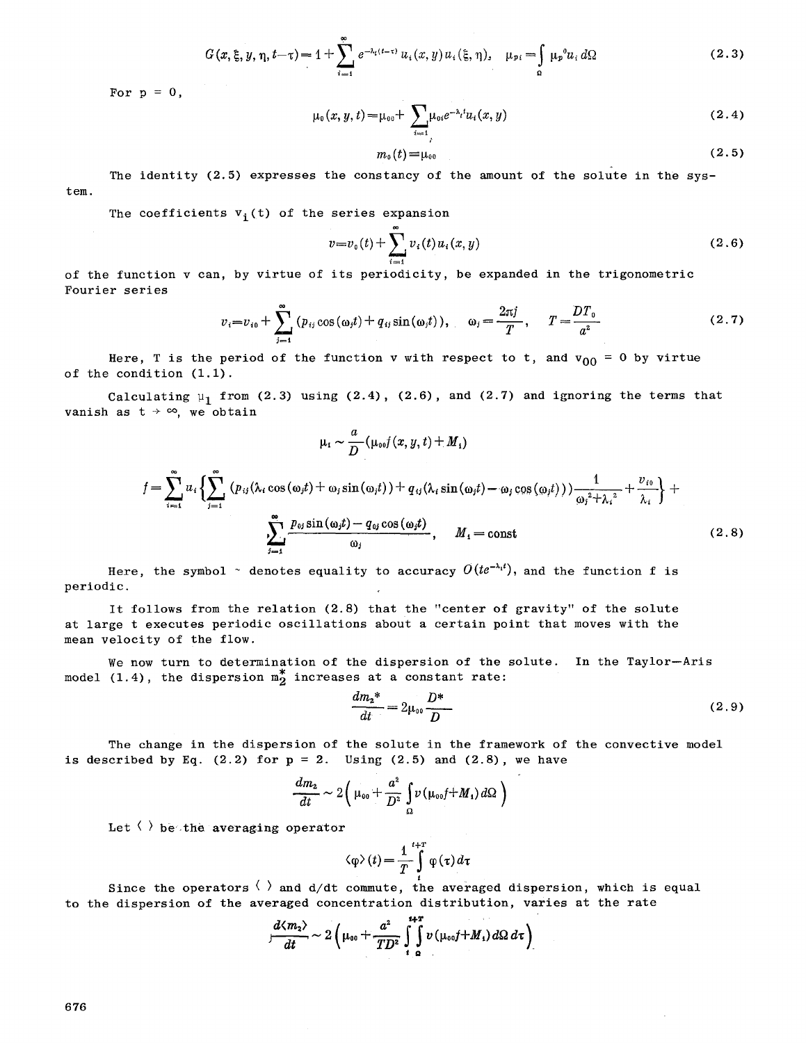$$
G(x,\xi,y,\eta,t-\tau) = 1 + \sum_{i=1}^{\infty} e^{-\lambda_i(t-\tau)} u_i(x,y) u_i(\xi,\eta), \quad \mu_{pi} = \int_{\Omega} \mu_p^0 u_i d\Omega \tag{2.3}
$$

For  $p = 0$ ,

$$
\mu_0(x, y, t) = \mu_{00} + \sum_{i=1}^{\infty} \mu_{0i} e^{-\lambda_i t} u_i(x, y)
$$
\n(2.4)

$$
m_{\scriptscriptstyle 0}(t) = \mu_{\scriptscriptstyle 00} \tag{2.5}
$$

tem. The identity  $(2.5)$  expresses the constancy of the amount of the solute in the sys-

The coefficients  $v_i(t)$  of the series expansion

$$
v = v_0(t) + \sum_{i=1}^{n} v_i(t) u_i(x, y)
$$
\n(2.6)

of the function v can, by virtue of its periodicity, be expanded in the trigonometric Fourier series

$$
v_i = v_{i0} + \sum_{j=1}^{\infty} (p_{ij} \cos(\omega_j t) + q_{ij} \sin(\omega_j t)), \quad \omega_j = \frac{2\pi j}{T}, \quad T = \frac{DT_0}{a^2}
$$
(2.7)

Here, T is the period of the function **v** with respect to t, and  $\rm v_{00}$  = 0 by virtue of the condition (1.1).

a

Calculating  $\mu_1$  from (2.3) using (2.4), (2.6), and (2.7) and ignoring the terms that vanish as  $t \rightarrow \infty$ , we obtain

$$
\mu_{i} \sim \frac{1}{D} (\mu_{00} f(x, y, t) + M_{4})
$$
\n
$$
f = \sum_{i=1}^{\infty} u_{i} \left\{ \sum_{j=1}^{\infty} (p_{ij} (\lambda_{i} \cos(\omega_{j} t) + \omega_{j} \sin(\omega_{j} t)) + q_{ij} (\lambda_{i} \sin(\omega_{j} t) - \omega_{j} \cos(\omega_{j} t)) \right\} + \frac{1}{\omega_{j}^{2} + \lambda_{i}^{2}} + \frac{v_{i0}}{\lambda_{i}} \right\} + \sum_{j=1}^{\infty} \frac{p_{0j} \sin(\omega_{j} t) - q_{0j} \cos(\omega_{j} t)}{\omega_{j}}, \quad M_{1} = \text{const}
$$
\n(2.8)

Here, the symbol  $\sim$  denotes equality to accuracy  $O(te^{-\lambda_i t}$ , and the function f is periodic.

It follows from the relation (2.8) that the "center of gravity" of the solute at large t executes periodic oscillations about a certain point that moves with the mean velocity of the flow.

We now turn to determination of the dispersion of the solute. In the Taylor-Aris model (1.4), the dispersion  $m_2^*$  increases at a constant rate:

$$
\frac{dm_2^*}{dt} = 2\mu_{00} \frac{D^*}{D}
$$
 (2.9)

The change in the dispersion of the solute in the framework of the convective model is described by Eq.  $(2.2)$  for  $p = 2$ . Using  $(2.5)$  and  $(2.8)$ , we have

$$
\frac{dm_{2}}{dt}\sim2\left(\mu_{\text{\tiny 00}}+\frac{a^{2}}{D^{2}}\int\limits_{\Omega}v\left(\mu_{\text{\tiny 00}}f+M_{1}\right)d\Omega\ \right)
$$

Let  $\langle \ \rangle$  be the averaging operator

$$
\langle \varphi \rangle(t) = \frac{1}{T} \int^{t+T} \varphi(\tau) d\tau
$$

Since the operators  $\langle$   $\rangle$  and d/dt commute, the averaged dispersion, which is equal to the dispersion of the averaged concentration distribution, varies at the rate

$$
\frac{d\langle m_2\rangle}{dt} \sim 2\left(\mu_{00} + \frac{a^2}{TD^2}\int\limits_{t_0}^{t+T} v\left(\mu_{00}f + M_1\right)d\Omega\,d\tau\right)
$$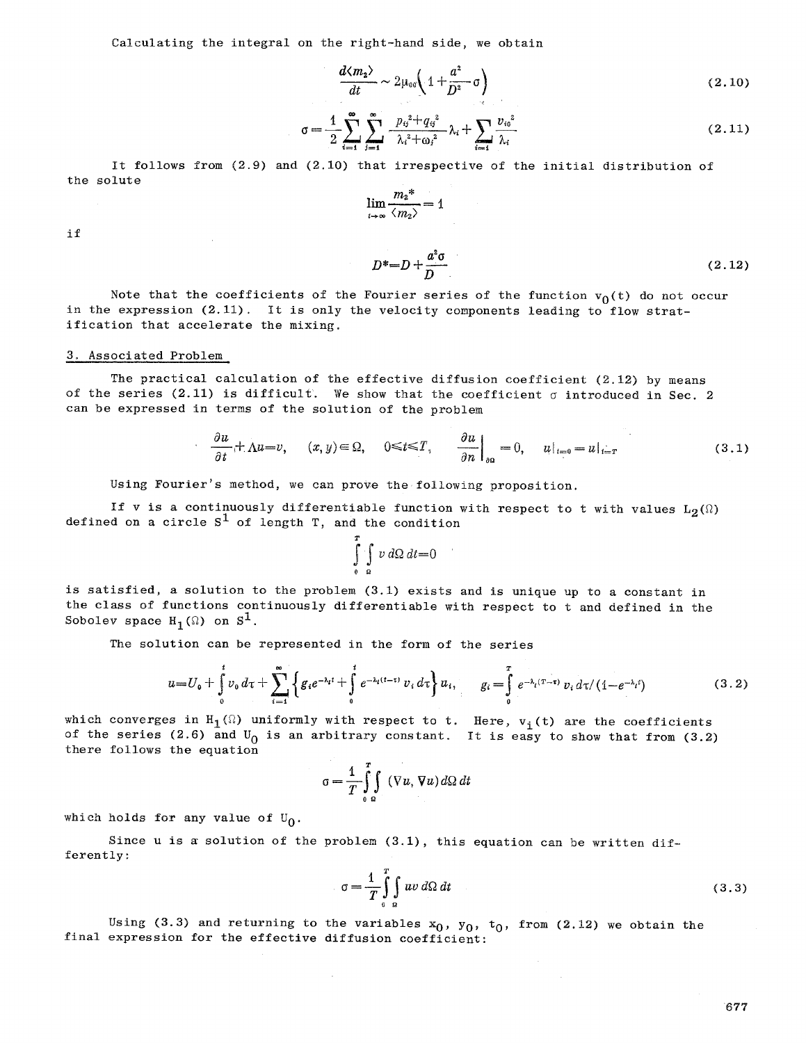Calculating the integral on the right-hand side, we obtain

$$
\frac{d\langle m_2\rangle}{dt} \sim 2\mu_{00}\left(1 + \frac{a^2}{D^2}\sigma\right) \tag{2.10}
$$

$$
\sigma = \frac{1}{2} \sum_{i=1}^{\infty} \sum_{j=1}^{\infty} \frac{p_{ij}^2 + q_{ij}^2}{\lambda_i^2 + \omega_j^2} \lambda_i + \sum_{i=1}^{\infty} \frac{v_{io}^2}{\lambda_i}
$$
 (2.11)

It follows from  $(2.9)$  and  $(2.10)$  that irrespective of the initial distribution of the solute

$$
\lim_{t\to\infty}\frac{{m_2}^*}{\langle m_2\rangle}=1
$$

if

$$
D^* = D + \frac{a^2 \sigma}{D} \tag{2.12}
$$

Note that the coefficients of the Fourier series of the function  $v_0(t)$  do not occur in the expression (2.11). It is only the velocity components leading to flow stratification that accelerate the mixing.

#### 3. Associated Problem

The practical calculation of the effective diffusion coefficient  $(2.12)$  by means of the series (2.11) is difficult. We show that the coefficient  $\sigma$  introduced in Sec. 2 can be expressed in terms of the solution of the problem

$$
\frac{\partial u}{\partial t} + \Lambda u = v, \qquad (x, y) \in \Omega, \qquad 0 \le t \le T, \qquad \frac{\partial u}{\partial n} \Big|_{\partial \Omega} = 0, \qquad u|_{t=0} = u|_{t=T}
$$
\n(3.1)

Using Fourier's method, we can prove the following proposition.

If v is a continuously differentiable function with respect to t with values  $L_2(\Omega)$ defined on a circle  $S^1$  of length T, and the condition

$$
\int\limits_{0}^{T}\int\limits_{\Omega} v\,d\Omega\,dt=0
$$

is satisfied, a solution to the problem (3.1) exists and is unique up to a constant in the class of functions continuously differentiable with respect to t and defined in the Sobolev space  $H_1(\Omega)$  on  $S^1$ .

The solution can be represented in the form of the series

$$
u = U_0 + \int_0^t v_0 \, d\tau + \sum_{i=1}^\infty \left\{ g_i e^{-\lambda_i t} + \int_0^t e^{-\lambda_i (t-\tau)} \, v_i \, d\tau \right\} u_i, \qquad g_i = \int_0^T e^{-\lambda_i (T-\tau)} \, v_i \, d\tau / (1 - e^{-\lambda_i t}) \tag{3.2}
$$

which converges in  $H_1(\Omega)$  uniformly with respect to t. Here,  $v_i(t)$  are the coefficients of the series (2.6) and  $U_0$  is an arbitrary constant. It is easy to show that from (3.2) there follows the equation

$$
\sigma = \frac{1}{T} \int_{0}^{T} \int_{\Omega} (\nabla u, \nabla u) d\Omega dt
$$

which holds for any value of  $U_0$ .

Since  $u$  is a solution of the problem  $(3.1)$ , this equation can be written differently:

$$
\sigma = \frac{1}{T} \int_{0}^{T} \int_{\Omega} uv \, d\Omega \, dt \tag{3.3}
$$

Using (3.3) and returning to the variables  $x_0$ ,  $y_0$ ,  $t_0$ , from (2.12) we obtain the final expression for the effective diffusion coefficient:

 $\epsilon$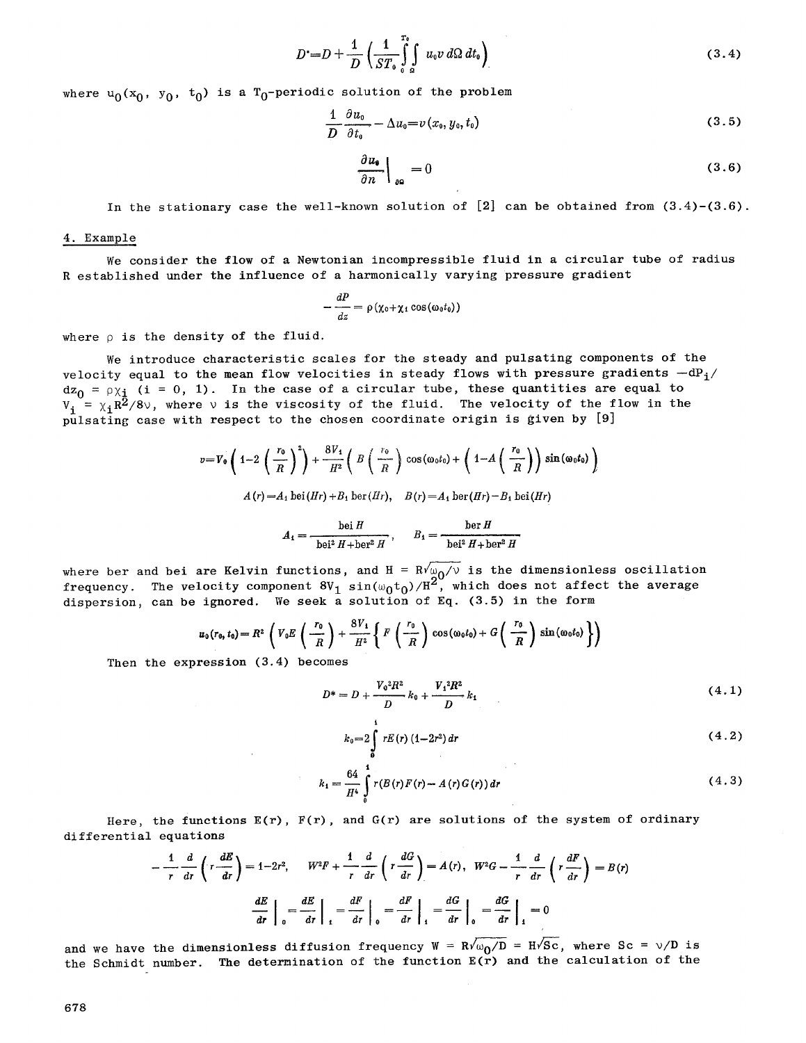$$
D^{\bullet} = D + \frac{1}{D} \left( \frac{1}{ST_o} \int\limits_0^{T_o} \int\limits_{\Omega} u_0 v \, d\Omega \, dt_0 \right) \tag{3.4}
$$

where  $u_0(x_0, y_0, t_0)$  is a T<sub>0</sub>-periodic solution of the problem

$$
\frac{1}{D}\frac{\partial u_0}{\partial t_0} - \Delta u_0 = v(x_0, y_0, t_0)
$$
\n(3.5)

$$
\left. \frac{\partial u_{\bullet}}{\partial n} \right|_{\partial \Omega} = 0 \tag{3.6}
$$

In the stationary case the well-known solution of [2] can be obtained from (3.4)-(3.6).

# 4. Example

We consider the flow of a Newtonian incompressible fluid in a circular tube of radius R established under the influence of a harmonically varying pressure gradient

$$
-\frac{dP}{dz}=\rho\left(\chi_0+\chi_1\cos\left(\omega_0t_0\right)\right)
$$

where  $\rho$  is the density of the fluid.

We introduce characteristic scales for the steady and pulsating components of the velocity equal to the mean flow velocities in steady flows with pressure gradients  $-dP_i/$  $dz_0 = \rho \chi_{\frac{1}{4}}$  (i = 0, 1). In the case of a circular tube, these quantities are equal to  $V_i = \chi_i R^2/8v$ , where v is the viscosity of the fluid. The velocity of the flow in the pulsating case with respect to the chosen coordinate origin is given by [9]

$$
v = V_0 \left( 1 - 2 \left( \frac{r_0}{R} \right)^2 \right) + \frac{8V_1}{H^2} \left( B \left( \frac{r_0}{R} \right) \cos(\omega_0 t_0) + \left( 1 - A \left( \frac{r_0}{R} \right) \right) \sin(\omega_0 t_0) \right)
$$
  

$$
A(r) = A_1 \operatorname{bei}(Hr) + B_1 \operatorname{ber}(Hr), \quad B(r) = A_1 \operatorname{ber}(Hr) - B_1 \operatorname{bei}(Hr)
$$

$$
A_1 = \frac{\operatorname{bei} H}{\operatorname{bei}^2 H + \operatorname{ber}^2 H}, \qquad B_1 = \frac{\operatorname{ber} H}{\operatorname{bei}^2 H + \operatorname{ber}^2 H}
$$

where ber and bei are Kelvin functions, and H =  $\mathtt{Rv' \omega_0}/\mathtt{v}$  is the dimensionless oscillat frequency. The velocity component  $8V_1\ \sin(\omega_0 t_0)/H^2$ , which does not affect the averag dispersion, can be ignored. We seek a solution of Eq.  $(3.5)$  in the form

$$
u_0(r_0, t_0) = R^2 \left( V_0 E \left( \frac{r_0}{R} \right) + \frac{8 V_1}{H^2} \left\{ F \left( \frac{r_0}{R} \right) \cos (\omega_0 t_0) + G \left( \frac{r_0}{R} \right) \sin (\omega_0 t_0) \right\} \right)
$$

Then the expression (3.4) becomes

 $\sim$ 

$$
D^* = D + \frac{V_0^2 R^2}{D} k_0 + \frac{V_1^2 R^2}{D} k_1
$$
 (4.1)

$$
k_0 = 2 \int_0^1 r E(r) (1-2r^2) dr \tag{4.2}
$$

$$
k_1 = \frac{64}{H^4} \int_{0}^{1} r(B(r)F(r) - A(r)G(r)) dr
$$
 (4.3)

Here, the functions  $E(r)$ ,  $F(r)$ , and  $G(r)$  are solutions of the system of ordinary differential equations

$$
-\frac{1}{r}\frac{d}{dr}\left(r\frac{dE}{dr}\right) = 1-2r^2, \qquad W^2F + \frac{1}{r}\frac{d}{dr}\left(r\frac{dG}{dr}\right) = A(r), \quad W^2G - \frac{1}{r}\frac{d}{dr}\left(r\frac{dF}{dr}\right) = B(r)
$$

$$
\frac{dE}{dr}\bigg|_{0} = \frac{dE}{dr}\bigg|_{1} = \frac{dF}{dr}\bigg|_{0} = \frac{dF}{dr}\bigg|_{1} = \frac{dG}{dr}\bigg|_{0} = \frac{dG}{dr}\bigg|_{1} = 0
$$

and we have the dimensionless diffusion frequency  $W = R\sqrt{\omega_0/D} = H\sqrt{SC}$ , where Sc =  $\sqrt{D}$  is the Schmidt number. The determination of the function  $E(\tilde{r})$  and the calculation of the